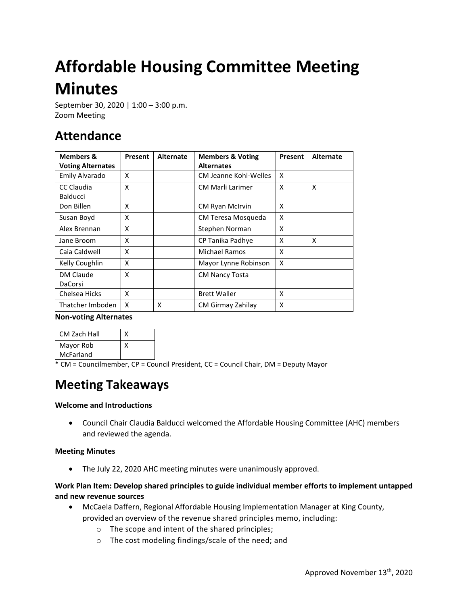# **Affordable Housing Committee Meeting Minutes**

September 30, 2020 | 1:00 – 3:00 p.m. Zoom Meeting

# **Attendance**

| <b>Members &amp;</b><br><b>Voting Alternates</b> | Present | <b>Alternate</b> | <b>Members &amp; Voting</b><br><b>Alternates</b> | Present | <b>Alternate</b> |
|--------------------------------------------------|---------|------------------|--------------------------------------------------|---------|------------------|
| Emily Alvarado                                   | x       |                  | CM Jeanne Kohl-Welles                            | X       |                  |
| CC Claudia<br>Balducci                           | X       |                  | <b>CM Marli Larimer</b>                          | X       | x                |
| Don Billen                                       | x       |                  | <b>CM Ryan McIrvin</b>                           | X       |                  |
| Susan Boyd                                       | X       |                  | CM Teresa Mosqueda                               | X       |                  |
| Alex Brennan                                     | X       |                  | Stephen Norman                                   | X       |                  |
| Jane Broom                                       | x       |                  | CP Tanika Padhye                                 | X       | X                |
| Caia Caldwell                                    | X       |                  | Michael Ramos                                    | X       |                  |
| Kelly Coughlin                                   | X       |                  | Mayor Lynne Robinson                             | X       |                  |
| DM Claude<br>DaCorsi                             | X       |                  | <b>CM Nancy Tosta</b>                            |         |                  |
| Chelsea Hicks                                    | X       |                  | <b>Brett Waller</b>                              | X       |                  |
| Thatcher Imboden                                 | x       | x                | CM Girmay Zahilay                                | x       |                  |

#### **Non-voting Alternates**

| <b>CM Zach Hall</b> |  |
|---------------------|--|
| Mayor Rob           |  |
| McFarland           |  |

\* CM = Councilmember, CP = Council President, CC = Council Chair, DM = Deputy Mayor

# **Meeting Takeaways**

#### **Welcome and Introductions**

• Council Chair Claudia Balducci welcomed the Affordable Housing Committee (AHC) members and reviewed the agenda.

#### **Meeting Minutes**

• The July 22, 2020 AHC meeting minutes were unanimously approved.

#### **Work Plan Item: Develop shared principles to guide individual member efforts to implement untapped and new revenue sources**

- McCaela Daffern, Regional Affordable Housing Implementation Manager at King County, provided an overview of the revenue shared principles memo, including:
	- o The scope and intent of the shared principles;
	- o The cost modeling findings/scale of the need; and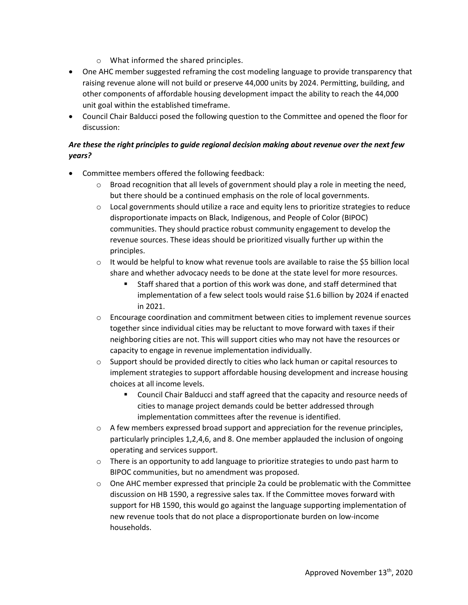- o What informed the shared principles.
- One AHC member suggested reframing the cost modeling language to provide transparency that raising revenue alone will not build or preserve 44,000 units by 2024. Permitting, building, and other components of affordable housing development impact the ability to reach the 44,000 unit goal within the established timeframe.
- Council Chair Balducci posed the following question to the Committee and opened the floor for discussion:

## *Are these the right principles to guide regional decision making about revenue over the next few years?*

- Committee members offered the following feedback:
	- $\circ$  Broad recognition that all levels of government should play a role in meeting the need, but there should be a continued emphasis on the role of local governments.
	- $\circ$  Local governments should utilize a race and equity lens to prioritize strategies to reduce disproportionate impacts on Black, Indigenous, and People of Color (BIPOC) communities. They should practice robust community engagement to develop the revenue sources. These ideas should be prioritized visually further up within the principles.
	- $\circ$  It would be helpful to know what revenue tools are available to raise the \$5 billion local share and whether advocacy needs to be done at the state level for more resources.
		- Staff shared that a portion of this work was done, and staff determined that implementation of a few select tools would raise \$1.6 billion by 2024 if enacted in 2021.
	- o Encourage coordination and commitment between cities to implement revenue sources together since individual cities may be reluctant to move forward with taxes if their neighboring cities are not. This will support cities who may not have the resources or capacity to engage in revenue implementation individually.
	- $\circ$  Support should be provided directly to cities who lack human or capital resources to implement strategies to support affordable housing development and increase housing choices at all income levels.
		- Council Chair Balducci and staff agreed that the capacity and resource needs of cities to manage project demands could be better addressed through implementation committees after the revenue is identified.
	- $\circ$  A few members expressed broad support and appreciation for the revenue principles, particularly principles 1,2,4,6, and 8. One member applauded the inclusion of ongoing operating and services support.
	- $\circ$  There is an opportunity to add language to prioritize strategies to undo past harm to BIPOC communities, but no amendment was proposed.
	- $\circ$  One AHC member expressed that principle 2a could be problematic with the Committee discussion on HB 1590, a regressive sales tax. If the Committee moves forward with support for HB 1590, this would go against the language supporting implementation of new revenue tools that do not place a disproportionate burden on low-income households.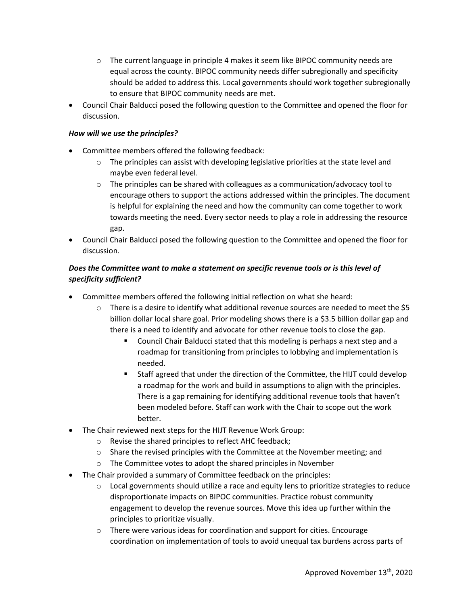- o The current language in principle 4 makes it seem like BIPOC community needs are equal across the county. BIPOC community needs differ subregionally and specificity should be added to address this. Local governments should work together subregionally to ensure that BIPOC community needs are met.
- Council Chair Balducci posed the following question to the Committee and opened the floor for discussion.

#### *How will we use the principles?*

- Committee members offered the following feedback:
	- $\circ$  The principles can assist with developing legislative priorities at the state level and maybe even federal level.
	- $\circ$  The principles can be shared with colleagues as a communication/advocacy tool to encourage others to support the actions addressed within the principles. The document is helpful for explaining the need and how the community can come together to work towards meeting the need. Every sector needs to play a role in addressing the resource gap.
- Council Chair Balducci posed the following question to the Committee and opened the floor for discussion.

### *Does the Committee want to make a statement on specific revenue tools or is this level of specificity sufficient?*

- Committee members offered the following initial reflection on what she heard:
	- $\circ$  There is a desire to identify what additional revenue sources are needed to meet the \$5 billion dollar local share goal. Prior modeling shows there is a \$3.5 billion dollar gap and there is a need to identify and advocate for other revenue tools to close the gap.
		- Council Chair Balducci stated that this modeling is perhaps a next step and a roadmap for transitioning from principles to lobbying and implementation is needed.
		- **Staff agreed that under the direction of the Committee, the HIJT could develop** a roadmap for the work and build in assumptions to align with the principles. There is a gap remaining for identifying additional revenue tools that haven't been modeled before. Staff can work with the Chair to scope out the work better.
- The Chair reviewed next steps for the HIJT Revenue Work Group:
	- o Revise the shared principles to reflect AHC feedback;
	- o Share the revised principles with the Committee at the November meeting; and
	- o The Committee votes to adopt the shared principles in November
- The Chair provided a summary of Committee feedback on the principles:
	- $\circ$  Local governments should utilize a race and equity lens to prioritize strategies to reduce disproportionate impacts on BIPOC communities. Practice robust community engagement to develop the revenue sources. Move this idea up further within the principles to prioritize visually.
	- $\circ$  There were various ideas for coordination and support for cities. Encourage coordination on implementation of tools to avoid unequal tax burdens across parts of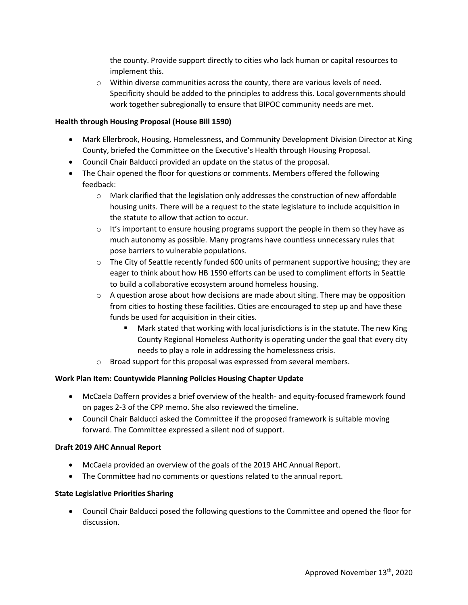the county. Provide support directly to cities who lack human or capital resources to implement this.

 $\circ$  Within diverse communities across the county, there are various levels of need. Specificity should be added to the principles to address this. Local governments should work together subregionally to ensure that BIPOC community needs are met.

#### **Health through Housing Proposal (House Bill 1590)**

- Mark Ellerbrook, Housing, Homelessness, and Community Development Division Director at King County, briefed the Committee on the Executive's Health through Housing Proposal.
- Council Chair Balducci provided an update on the status of the proposal.
- The Chair opened the floor for questions or comments. Members offered the following feedback:
	- $\circ$  Mark clarified that the legislation only addresses the construction of new affordable housing units. There will be a request to the state legislature to include acquisition in the statute to allow that action to occur.
	- $\circ$  It's important to ensure housing programs support the people in them so they have as much autonomy as possible. Many programs have countless unnecessary rules that pose barriers to vulnerable populations.
	- $\circ$  The City of Seattle recently funded 600 units of permanent supportive housing; they are eager to think about how HB 1590 efforts can be used to compliment efforts in Seattle to build a collaborative ecosystem around homeless housing.
	- $\circ$  A question arose about how decisions are made about siting. There may be opposition from cities to hosting these facilities. Cities are encouraged to step up and have these funds be used for acquisition in their cities.
		- Mark stated that working with local jurisdictions is in the statute. The new King County Regional Homeless Authority is operating under the goal that every city needs to play a role in addressing the homelessness crisis.
	- o Broad support for this proposal was expressed from several members.

#### **Work Plan Item: Countywide Planning Policies Housing Chapter Update**

- McCaela Daffern provides a brief overview of the health- and equity-focused framework found on pages 2-3 of the CPP memo. She also reviewed the timeline.
- Council Chair Balducci asked the Committee if the proposed framework is suitable moving forward. The Committee expressed a silent nod of support.

#### **Draft 2019 AHC Annual Report**

- McCaela provided an overview of the goals of the 2019 AHC Annual Report.
- The Committee had no comments or questions related to the annual report.

#### **State Legislative Priorities Sharing**

• Council Chair Balducci posed the following questions to the Committee and opened the floor for discussion.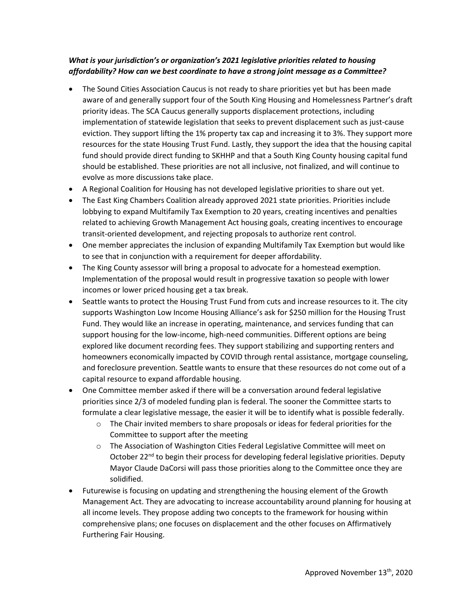## *What is your jurisdiction's or organization's 2021 legislative priorities related to housing affordability? How can we best coordinate to have a strong joint message as a Committee?*

- The Sound Cities Association Caucus is not ready to share priorities yet but has been made aware of and generally support four of the South King Housing and Homelessness Partner's draft priority ideas. The SCA Caucus generally supports displacement protections, including implementation of statewide legislation that seeks to prevent displacement such as just-cause eviction. They support lifting the 1% property tax cap and increasing it to 3%. They support more resources for the state Housing Trust Fund. Lastly, they support the idea that the housing capital fund should provide direct funding to SKHHP and that a South King County housing capital fund should be established. These priorities are not all inclusive, not finalized, and will continue to evolve as more discussions take place.
- A Regional Coalition for Housing has not developed legislative priorities to share out yet.
- The East King Chambers Coalition already approved 2021 state priorities. Priorities include lobbying to expand Multifamily Tax Exemption to 20 years, creating incentives and penalties related to achieving Growth Management Act housing goals, creating incentives to encourage transit-oriented development, and rejecting proposals to authorize rent control.
- One member appreciates the inclusion of expanding Multifamily Tax Exemption but would like to see that in conjunction with a requirement for deeper affordability.
- The King County assessor will bring a proposal to advocate for a homestead exemption. Implementation of the proposal would result in progressive taxation so people with lower incomes or lower priced housing get a tax break.
- Seattle wants to protect the Housing Trust Fund from cuts and increase resources to it. The city supports Washington Low Income Housing Alliance's ask for \$250 million for the Housing Trust Fund. They would like an increase in operating, maintenance, and services funding that can support housing for the low-income, high-need communities. Different options are being explored like document recording fees. They support stabilizing and supporting renters and homeowners economically impacted by COVID through rental assistance, mortgage counseling, and foreclosure prevention. Seattle wants to ensure that these resources do not come out of a capital resource to expand affordable housing.
- One Committee member asked if there will be a conversation around federal legislative priorities since 2/3 of modeled funding plan is federal. The sooner the Committee starts to formulate a clear legislative message, the easier it will be to identify what is possible federally.
	- $\circ$  The Chair invited members to share proposals or ideas for federal priorities for the Committee to support after the meeting
	- o The Association of Washington Cities Federal Legislative Committee will meet on October 22<sup>nd</sup> to begin their process for developing federal legislative priorities. Deputy Mayor Claude DaCorsi will pass those priorities along to the Committee once they are solidified.
- Futurewise is focusing on updating and strengthening the housing element of the Growth Management Act. They are advocating to increase accountability around planning for housing at all income levels. They propose adding two concepts to the framework for housing within comprehensive plans; one focuses on displacement and the other focuses on Affirmatively Furthering Fair Housing.